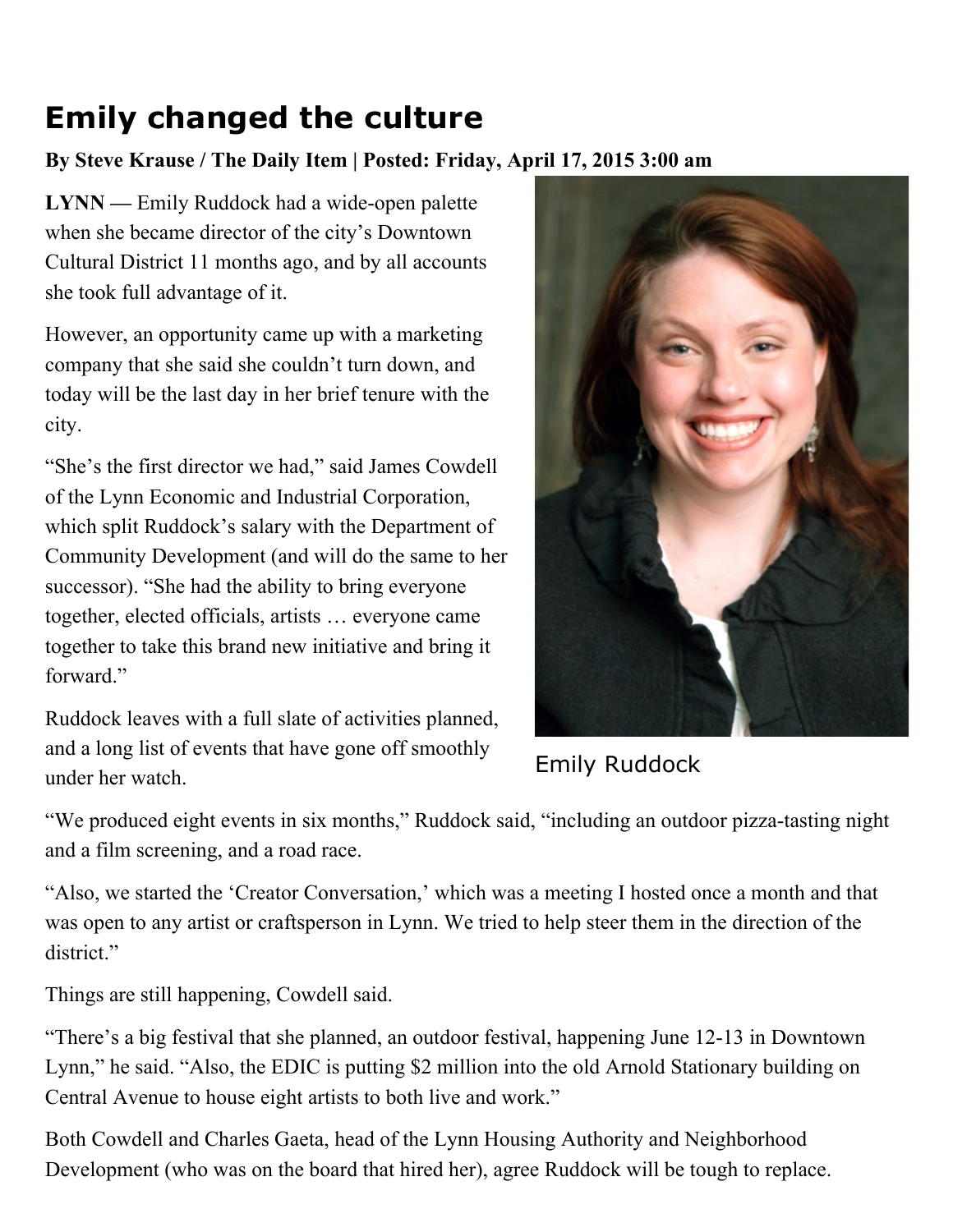## Emily changed the culture

## By Steve Krause / The Daily Item | Posted: Friday, April 17, 2015 3:00 am

LYNN — Emily Ruddock had a wide-open palette when she became director of the city's Downtown Cultural District 11 months ago, and by all accounts she took full advantage of it.

However, an opportunity came up with a marketing company that she said she couldn't turn down, and today will be the last day in her brief tenure with the city.

"She's the first director we had," said James Cowdell of the Lynn Economic and Industrial Corporation, which split Ruddock's salary with the Department of Community Development (and will do the same to her successor). "She had the ability to bring everyone together, elected officials, artists … everyone came together to take this brand new initiative and bring it forward."

Ruddock leaves with a full slate of activities planned, and a long list of events that have gone off smoothly under her watch.



Emily Ruddock

"We produced eight events in six months," Ruddock said, "including an outdoor pizza-tasting night and a film screening, and a road race.

"Also, we started the 'Creator Conversation,' which was a meeting I hosted once a month and that was open to any artist or craftsperson in Lynn. We tried to help steer them in the direction of the district<sup>"</sup>

Things are still happening, Cowdell said.

"There's a big festival that she planned, an outdoor festival, happening June 12-13 in Downtown Lynn," he said. "Also, the EDIC is putting \$2 million into the old Arnold Stationary building on Central Avenue to house eight artists to both live and work."

Both Cowdell and Charles Gaeta, head of the Lynn Housing Authority and Neighborhood Development (who was on the board that hired her), agree Ruddock will be tough to replace.